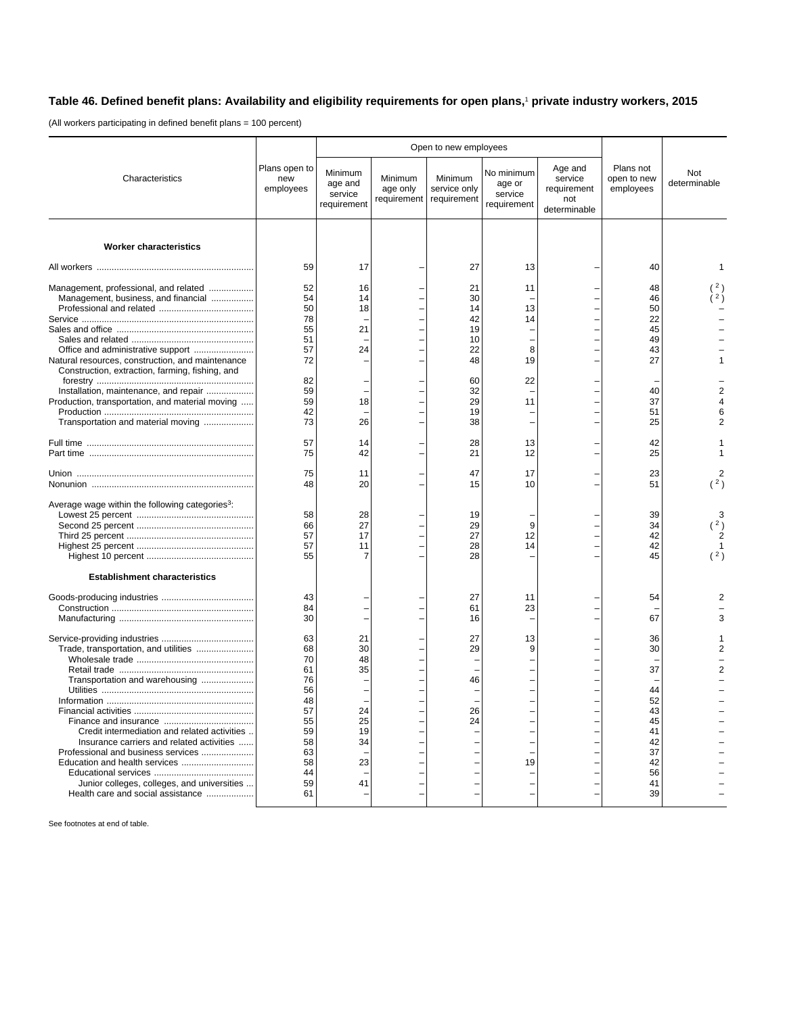## **Table 46. Defined benefit plans: Availability and eligibility requirements for open plans,**<sup>1</sup>  **private industry workers, 2015**

(All workers participating in defined benefit plans = 100 percent)

|                                                             | Plans open to<br>new<br>employees |                                              | Open to new employees              |                                        |                                                |                                                          |                                       |                     |
|-------------------------------------------------------------|-----------------------------------|----------------------------------------------|------------------------------------|----------------------------------------|------------------------------------------------|----------------------------------------------------------|---------------------------------------|---------------------|
| Characteristics                                             |                                   | Minimum<br>age and<br>service<br>requirement | Minimum<br>age only<br>requirement | Minimum<br>service only<br>requirement | No minimum<br>age or<br>service<br>requirement | Age and<br>service<br>requirement<br>not<br>determinable | Plans not<br>open to new<br>employees | Not<br>determinable |
|                                                             |                                   |                                              |                                    |                                        |                                                |                                                          |                                       |                     |
| <b>Worker characteristics</b>                               |                                   |                                              |                                    |                                        |                                                |                                                          |                                       |                     |
|                                                             | 59                                | 17                                           |                                    | 27                                     | 13                                             |                                                          | 40                                    | 1                   |
| Management, professional, and related                       | 52                                | 16                                           |                                    | 21                                     | 11                                             |                                                          | 48                                    |                     |
| Management, business, and financial                         | 54                                | 14                                           |                                    | 30                                     |                                                |                                                          | 46                                    | ່ 2 ິ               |
|                                                             | 50                                | 18                                           |                                    | 14                                     | 13                                             |                                                          | 50                                    |                     |
|                                                             | 78                                |                                              |                                    | 42                                     | 14                                             |                                                          | 22                                    |                     |
|                                                             | 55                                | 21                                           |                                    | 19                                     |                                                |                                                          | 45                                    |                     |
|                                                             | 51                                |                                              |                                    | 10                                     |                                                |                                                          | 49                                    |                     |
|                                                             | 57                                | 24                                           |                                    | 22                                     | 8                                              |                                                          | 43                                    |                     |
|                                                             | 72                                |                                              |                                    | 48                                     | 19                                             |                                                          | 27                                    |                     |
| Natural resources, construction, and maintenance            |                                   |                                              |                                    |                                        |                                                |                                                          |                                       |                     |
| Construction, extraction, farming, fishing, and             |                                   |                                              |                                    |                                        |                                                |                                                          |                                       |                     |
|                                                             | 82                                |                                              |                                    | 60                                     | 22                                             |                                                          |                                       |                     |
| Installation, maintenance, and repair                       | 59                                |                                              |                                    | 32                                     |                                                |                                                          | 40                                    |                     |
| Production, transportation, and material moving             | 59                                | 18                                           |                                    | 29                                     | 11                                             |                                                          | 37                                    |                     |
|                                                             | 42                                |                                              |                                    | 19                                     |                                                |                                                          | 51                                    | 6                   |
| Transportation and material moving                          | 73                                | 26                                           |                                    | 38                                     |                                                |                                                          | 25                                    | 2                   |
|                                                             |                                   |                                              |                                    |                                        |                                                |                                                          |                                       |                     |
|                                                             | 57                                | 14                                           |                                    | 28                                     | 13                                             |                                                          | 42                                    |                     |
|                                                             | 75                                | 42                                           |                                    | 21                                     | 12                                             |                                                          | 25                                    |                     |
|                                                             |                                   |                                              |                                    |                                        |                                                |                                                          |                                       |                     |
|                                                             | 75                                | 11                                           |                                    | 47                                     | 17                                             |                                                          | 23                                    |                     |
|                                                             | 48                                | 20                                           |                                    | 15                                     | 10                                             |                                                          | 51                                    | (2)                 |
|                                                             |                                   |                                              |                                    |                                        |                                                |                                                          |                                       |                     |
| Average wage within the following categories <sup>3</sup> : |                                   |                                              |                                    |                                        |                                                |                                                          |                                       |                     |
|                                                             | 58                                | 28                                           |                                    | 19                                     |                                                |                                                          | 39                                    | 3                   |
|                                                             | 66                                | 27                                           |                                    | 29                                     | 9                                              |                                                          | 34                                    |                     |
|                                                             |                                   | 17                                           |                                    | 27                                     | 12                                             |                                                          | 42                                    |                     |
|                                                             | 57                                |                                              |                                    |                                        |                                                |                                                          |                                       |                     |
|                                                             | 57                                | 11                                           |                                    | 28                                     | 14                                             |                                                          | 42                                    |                     |
|                                                             | 55                                | 7                                            |                                    | 28                                     |                                                |                                                          | 45                                    |                     |
| <b>Establishment characteristics</b>                        |                                   |                                              |                                    |                                        |                                                |                                                          |                                       |                     |
|                                                             |                                   |                                              |                                    |                                        |                                                |                                                          |                                       |                     |
|                                                             | 43                                |                                              |                                    | 27                                     | 11                                             |                                                          | 54                                    |                     |
|                                                             | 84                                |                                              |                                    | 61                                     | 23                                             |                                                          |                                       |                     |
|                                                             | 30                                |                                              |                                    | 16                                     |                                                |                                                          | 67                                    | з                   |
|                                                             |                                   |                                              |                                    |                                        |                                                |                                                          |                                       |                     |
|                                                             | 63                                | 21                                           |                                    | 27                                     | 13                                             |                                                          | 36                                    |                     |
| Trade, transportation, and utilities                        | 68                                | 30                                           |                                    | 29                                     | 9                                              |                                                          | 30                                    |                     |
|                                                             | 70                                | 48                                           |                                    |                                        |                                                |                                                          |                                       |                     |
|                                                             | 61                                | 35                                           |                                    |                                        |                                                |                                                          | 37                                    | $\overline{2}$      |
|                                                             | 76                                |                                              |                                    |                                        |                                                |                                                          |                                       |                     |
| Transportation and warehousing                              |                                   |                                              |                                    | 46                                     |                                                |                                                          |                                       |                     |
|                                                             | 56                                | Ē,                                           |                                    |                                        |                                                |                                                          | 44                                    |                     |
|                                                             | 48                                |                                              |                                    |                                        |                                                |                                                          | 52                                    |                     |
|                                                             | 57                                | 24                                           |                                    | 26                                     |                                                |                                                          | 43                                    |                     |
|                                                             | 55                                | 25                                           |                                    | 24                                     |                                                |                                                          | 45                                    |                     |
| Credit intermediation and related activities                | 59                                | 19                                           |                                    |                                        |                                                |                                                          | 41                                    |                     |
| Insurance carriers and related activities                   | 58                                | 34                                           |                                    |                                        |                                                |                                                          | 42                                    |                     |
| Professional and business services                          | 63                                |                                              |                                    |                                        |                                                |                                                          | 37                                    |                     |
|                                                             | 58                                | 23                                           |                                    |                                        | 19                                             |                                                          | 42                                    |                     |
|                                                             | 44                                |                                              |                                    |                                        |                                                |                                                          | 56                                    |                     |
| Junior colleges, colleges, and universities                 | 59                                | 41                                           |                                    |                                        |                                                |                                                          | 41                                    |                     |
| Health care and social assistance                           | 61                                |                                              |                                    |                                        |                                                |                                                          | 39                                    |                     |
|                                                             |                                   |                                              |                                    |                                        |                                                |                                                          |                                       |                     |

See footnotes at end of table.